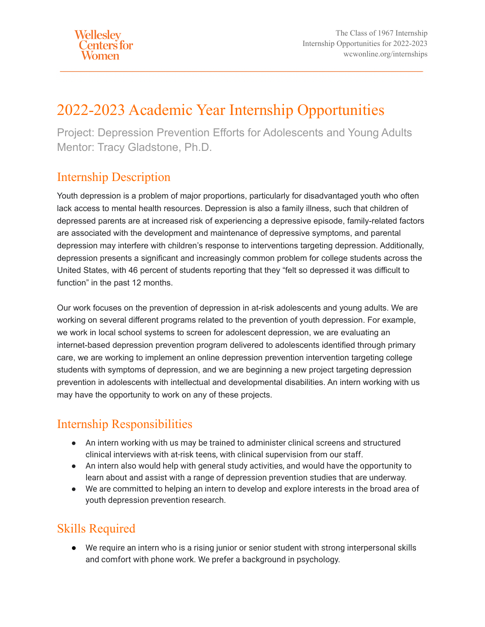# 2022-2023 Academic Year Internship Opportunities

Project: Depression Prevention Efforts for Adolescents and Young Adults Mentor: Tracy Gladstone, Ph.D.

#### Internship Description

Youth depression is a problem of major proportions, particularly for disadvantaged youth who often lack access to mental health resources. Depression is also a family illness, such that children of depressed parents are at increased risk of experiencing a depressive episode, family-related factors are associated with the development and maintenance of depressive symptoms, and parental depression may interfere with children's response to interventions targeting depression. Additionally, depression presents a significant and increasingly common problem for college students across the United States, with 46 percent of students reporting that they "felt so depressed it was difficult to function" in the past 12 months.

Our work focuses on the prevention of depression in at-risk adolescents and young adults. We are working on several different programs related to the prevention of youth depression. For example, we work in local school systems to screen for adolescent depression, we are evaluating an internet-based depression prevention program delivered to adolescents identified through primary care, we are working to implement an online depression prevention intervention targeting college students with symptoms of depression, and we are beginning a new project targeting depression prevention in adolescents with intellectual and developmental disabilities. An intern working with us may have the opportunity to work on any of these projects.

## Internship Responsibilities

- An intern working with us may be trained to administer clinical screens and structured clinical interviews with at-risk teens, with clinical supervision from our staff.
- An intern also would help with general study activities, and would have the opportunity to learn about and assist with a range of depression prevention studies that are underway.
- We are committed to helping an intern to develop and explore interests in the broad area of youth depression prevention research.

#### Skills Required

● We require an intern who is a rising junior or senior student with strong interpersonal skills and comfort with phone work. We prefer a background in psychology.